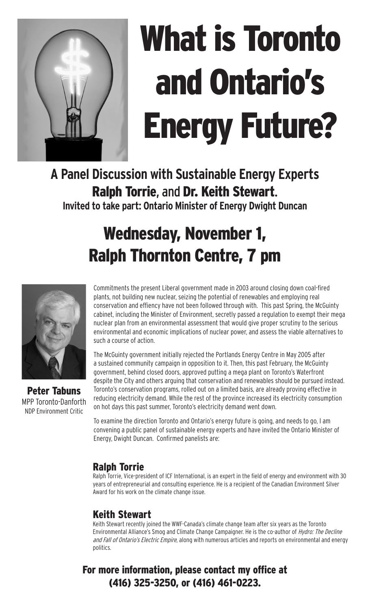

# What is Toronto and Ontario's Energy Future?

**A Panel Discussion with Sustainable Energy Experts**  Ralph Torrie, and Dr. Keith Stewart. **Invited to take part: Ontario Minister of Energy Dwight Duncan**

# Wednesday, November 1, Ralph Thornton Centre, 7 pm



Peter Tabuns MPP Toronto-Danforth NDP Environment Critic

Commitments the present Liberal government made in 2003 around closing down coal-fired plants, not building new nuclear, seizing the potential of renewables and employing real conservation and effiency have not been followed through with. This past Spring, the McGuinty cabinet, including the Minister of Environment, secretly passed a regulation to exempt their mega nuclear plan from an environmental assessment that would give proper scrutiny to the serious environmental and economic implications of nuclear power, and assess the viable alternatives to such a course of action.

The McGuinty government initially rejected the Portlands Energy Centre in May 2005 after a sustained community campaign in opposition to it. Then, this past February, the McGuinty government, behind closed doors, approved putting a mega plant on Toronto's Waterfront despite the City and others arguing that conservation and renewables should be pursued instead. Toronto's conservation programs, rolled out on a limited basis, are already proving effective in reducing electricity demand. While the rest of the province increased its electricity consumption on hot days this past summer, Toronto's electricity demand went down.

To examine the direction Toronto and Ontario's energy future is going, and needs to go, I am convening a public panel of sustainable energy experts and have invited the Ontario Minister of Energy, Dwight Duncan. Confirmed panelists are:

## Ralph Torrie

Ralph Torrie, Vice-president of ICF International, is an expert in the field of energy and environment with 30 years of entrepreneurial and consulting experience. He is a recipient of the Canadian Environment Silver Award for his work on the climate change issue.

## Keith Stewart

Keith Stewart recently joined the WWF-Canada's climate change team after six years as the Toronto Environmental Alliance's Smog and Climate Change Campaigner. He is the co-author of Hydro: The Decline and Fall of Ontario's Electric Empire, along with numerous articles and reports on environmental and energy politics.

# For more information, please contact my office at (416) 325-3250, or (416) 461-0223.